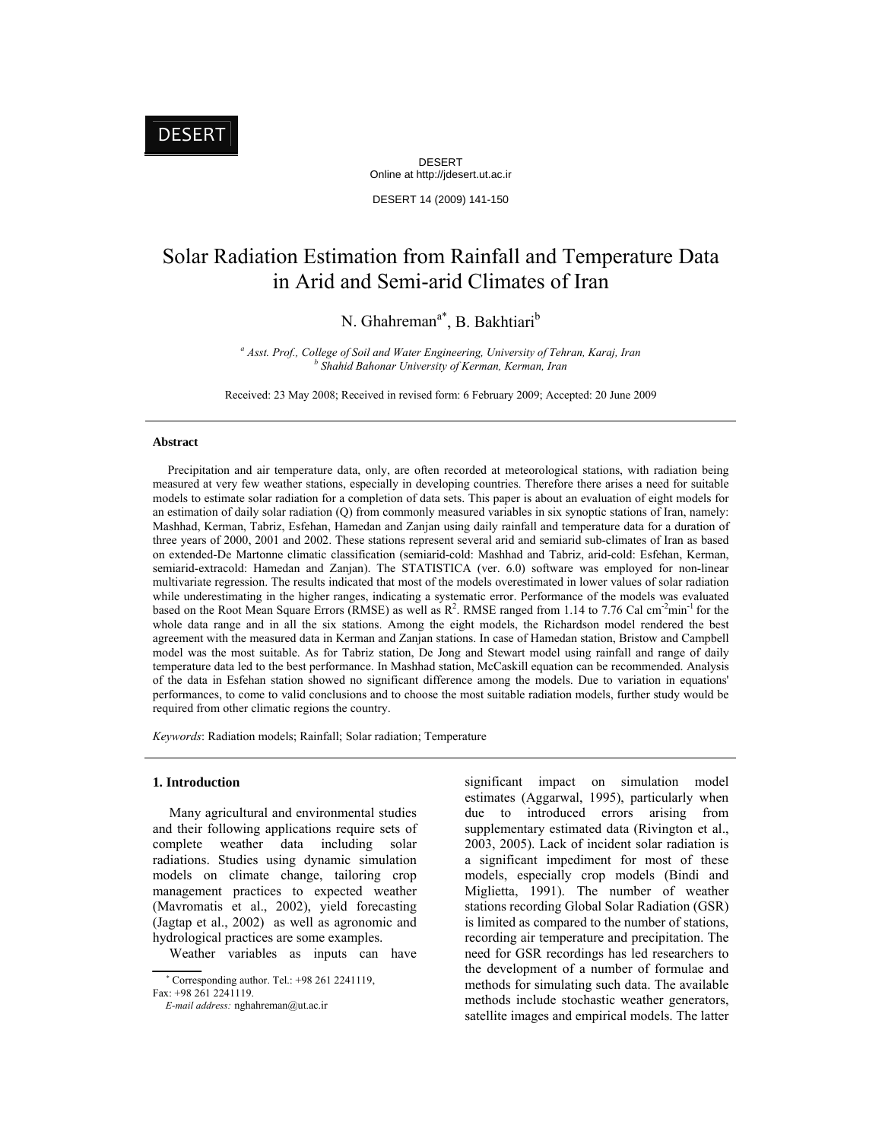DESERT Online at http://jdesert.ut.ac.ir

DESERT 14 (2009) 141-150

# Solar Radiation Estimation from Rainfall and Temperature Data in Arid and Semi-arid Climates of Iran

N. Ghahreman<sup>a\*</sup>, B. Bakhtiari<sup>b</sup>

*<sup>a</sup> Asst. Prof., College of Soil and Water Engineering, University of Tehran, Karaj, Iran b Shahid Bahonar University of Kerman, Kerman, Iran* 

Received: 23 May 2008; Received in revised form: 6 February 2009; Accepted: 20 June 2009

## **Abstract**

 Precipitation and air temperature data, only, are often recorded at meteorological stations, with radiation being measured at very few weather stations, especially in developing countries. Therefore there arises a need for suitable models to estimate solar radiation for a completion of data sets. This paper is about an evaluation of eight models for an estimation of daily solar radiation (Q) from commonly measured variables in six synoptic stations of Iran, namely: Mashhad, Kerman, Tabriz, Esfehan, Hamedan and Zanjan using daily rainfall and temperature data for a duration of three years of 2000, 2001 and 2002. These stations represent several arid and semiarid sub-climates of Iran as based on extended-De Martonne climatic classification (semiarid-cold: Mashhad and Tabriz, arid-cold: Esfehan, Kerman, semiarid-extracold: Hamedan and Zanjan). The STATISTICA (ver. 6.0) software was employed for non-linear multivariate regression. The results indicated that most of the models overestimated in lower values of solar radiation while underestimating in the higher ranges, indicating a systematic error. Performance of the models was evaluated based on the Root Mean Square Errors (RMSE) as well as  $R^2$ . RMSE ranged from 1.14 to 7.76 Cal cm<sup>-2</sup>min<sup>-1</sup> for the whole data range and in all the six stations. Among the eight models, the Richardson model rendered the best agreement with the measured data in Kerman and Zanjan stations. In case of Hamedan station, Bristow and Campbell model was the most suitable. As for Tabriz station, De Jong and Stewart model using rainfall and range of daily temperature data led to the best performance. In Mashhad station, McCaskill equation can be recommended. Analysis of the data in Esfehan station showed no significant difference among the models. Due to variation in equations' performances, to come to valid conclusions and to choose the most suitable radiation models, further study would be required from other climatic regions the country.

*Keywords*: Radiation models; Rainfall; Solar radiation; Temperature

#### **1. Introduction**

 Many agricultural and environmental studies and their following applications require sets of complete weather data including solar radiations. Studies using dynamic simulation models on climate change, tailoring crop management practices to expected weather (Mavromatis et al., 2002), yield forecasting (Jagtap et al., 2002) as well as agronomic and hydrological practices are some examples.

Weather variables as inputs can have

 Corresponding author. Tel.: +98 261 2241119, Fax: +98 261 2241119.

significant impact on simulation model estimates (Aggarwal, 1995), particularly when due to introduced errors arising from supplementary estimated data (Rivington et al., 2003, 2005). Lack of incident solar radiation is a significant impediment for most of these models, especially crop models (Bindi and Miglietta, 1991). The number of weather stations recording Global Solar Radiation (GSR) is limited as compared to the number of stations, recording air temperature and precipitation. The need for GSR recordings has led researchers to the development of a number of formulae and methods for simulating such data. The available methods include stochastic weather generators, satellite images and empirical models. The latter

*E-mail address:* nghahreman@ut.ac.ir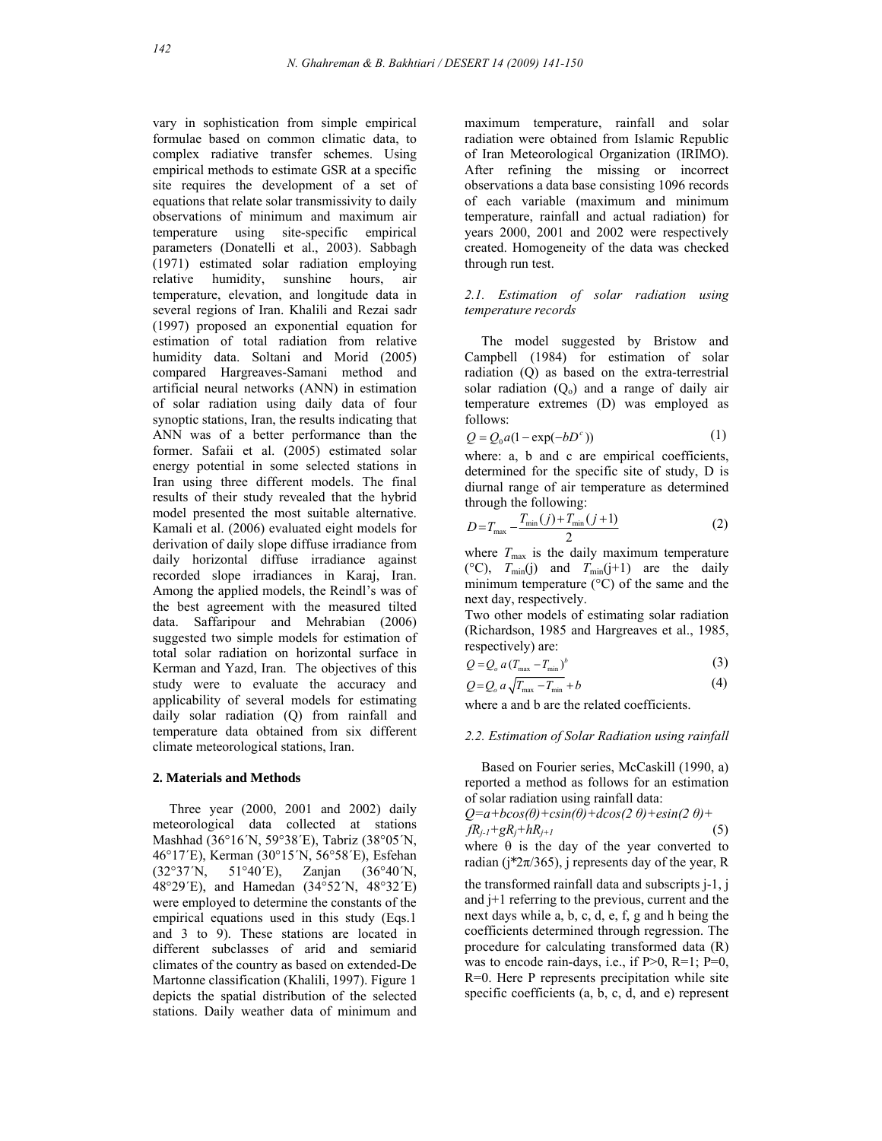vary in sophistication from simple empirical formulae based on common climatic data, to complex radiative transfer schemes. Using empirical methods to estimate GSR at a specific site requires the development of a set of equations that relate solar transmissivity to daily observations of minimum and maximum air temperature using site-specific empirical parameters (Donatelli et al., 2003). Sabbagh (1971) estimated solar radiation employing relative humidity, sunshine hours, air temperature, elevation, and longitude data in several regions of Iran. Khalili and Rezai sadr (1997) proposed an exponential equation for estimation of total radiation from relative humidity data. Soltani and Morid (2005) compared Hargreaves-Samani method and artificial neural networks (ANN) in estimation of solar radiation using daily data of four synoptic stations, Iran, the results indicating that ANN was of a better performance than the former. Safaii et al. (2005) estimated solar energy potential in some selected stations in Iran using three different models. The final results of their study revealed that the hybrid model presented the most suitable alternative. Kamali et al. (2006) evaluated eight models for derivation of daily slope diffuse irradiance from daily horizontal diffuse irradiance against recorded slope irradiances in Karaj, Iran. Among the applied models, the Reindl's was of the best agreement with the measured tilted data. Saffaripour and Mehrabian (2006) suggested two simple models for estimation of total solar radiation on horizontal surface in Kerman and Yazd, Iran. The objectives of this study were to evaluate the accuracy and applicability of several models for estimating daily solar radiation (Q) from rainfall and temperature data obtained from six different climate meteorological stations, Iran.

#### **2. Materials and Methods**

 Three year (2000, 2001 and 2002) daily meteorological data collected at stations Mashhad (36°16´N, 59°38´E), Tabriz (38°05´N, 46°17´E), Kerman (30°15´N, 56°58´E), Esfehan (32°37´N, 51°40´E), Zanjan (36°40´N, 48°29´E), and Hamedan (34°52´N, 48°32´E) were employed to determine the constants of the empirical equations used in this study (Eqs.1 and 3 to 9). These stations are located in different subclasses of arid and semiarid climates of the country as based on extended-De Martonne classification (Khalili, 1997). Figure 1 depicts the spatial distribution of the selected stations. Daily weather data of minimum and maximum temperature, rainfall and solar radiation were obtained from Islamic Republic of Iran Meteorological Organization (IRIMO). After refining the missing or incorrect observations a data base consisting 1096 records of each variable (maximum and minimum temperature, rainfall and actual radiation) for years 2000, 2001 and 2002 were respectively created. Homogeneity of the data was checked through run test.

## *2.1. Estimation of solar radiation using temperature records*

 The model suggested by Bristow and Campbell (1984) for estimation of solar radiation (Q) as based on the extra-terrestrial solar radiation  $(Q_0)$  and a range of daily air temperature extremes (D) was employed as follows:

$$
Q = Q_0 a (1 - \exp(-bD^c))
$$
 (1)

where: a, b and c are empirical coefficients, determined for the specific site of study, D is diurnal range of air temperature as determined through the following:

$$
D = T_{\max} - \frac{T_{\min}(j) + T_{\min}(j+1)}{2}
$$
 (2)

where  $T_{\text{max}}$  is the daily maximum temperature ( $^{\circ}$ C),  $T_{min}(j)$  and  $T_{min}(j+1)$  are the daily minimum temperature (°C) of the same and the next day, respectively.

Two other models of estimating solar radiation (Richardson, 1985 and Hargreaves et al., 1985, respectively) are:

$$
Q = Q_o a (T_{\text{max}} - T_{\text{min}})^b
$$
 (3)

$$
Q = Q_o a \sqrt{T_{\text{max}} - T_{\text{min}}} + b \tag{4}
$$

where a and b are the related coefficients.

#### *2.2. Estimation of Solar Radiation using rainfall*

 Based on Fourier series, McCaskill (1990, a) reported a method as follows for an estimation of solar radiation using rainfall data:

$$
Q=a+bcos(\theta)+csin(\theta)+dcos(2 \theta)+esin(2 \theta)+\nfR_{j-1}+gR_j+hR_{j+1}
$$
\n(5)  
\nwhere  $\theta$  is the day of the year converted to

radian ( $j^*2\pi/365$ ), j represents day of the year, R

the transformed rainfall data and subscripts j-1, j and j+1 referring to the previous, current and the next days while a, b, c, d, e, f, g and h being the coefficients determined through regression. The procedure for calculating transformed data (R) was to encode rain-days, i.e., if  $P>0$ ,  $R=1$ ;  $P=0$ , R=0. Here P represents precipitation while site specific coefficients (a, b, c, d, and e) represent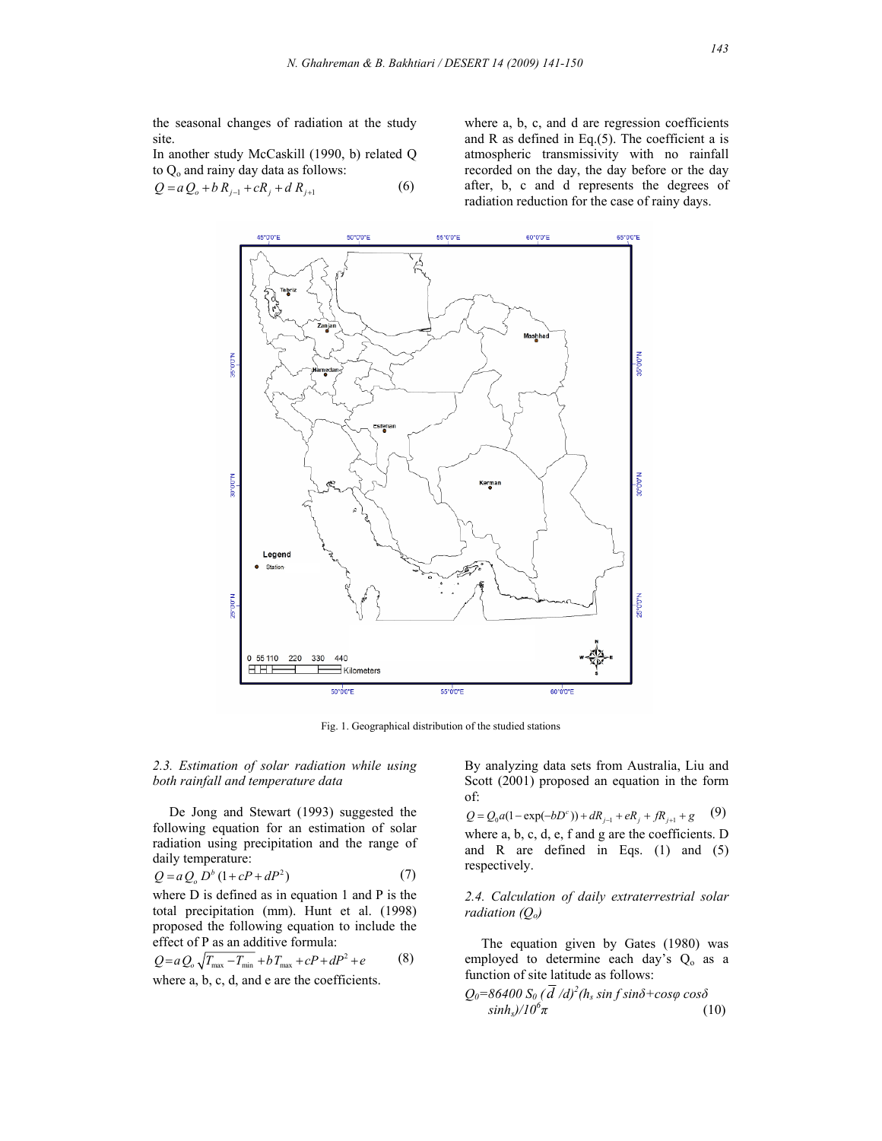the seasonal changes of radiation at the study site.

In another study McCaskill (1990, b) related Q to  $Q_0$  and rainy day data as follows:

$$
Q = a Q_o + b R_{j-1} + c R_j + d R_{j+1}
$$
 (6)

where a, b, c, and d are regression coefficients and R as defined in Eq.(5). The coefficient a is atmospheric transmissivity with no rainfall recorded on the day, the day before or the day after, b, c and d represents the degrees of radiation reduction for the case of rainy days.



Fig. 1. Geographical distribution of the studied stations

## *2.3. Estimation of solar radiation while using both rainfall and temperature data*

 De Jong and Stewart (1993) suggested the following equation for an estimation of solar radiation using precipitation and the range of daily temperature:

$$
Q = a Q_o D^b (1 + cP + dP^2)
$$
 (7)

where D is defined as in equation 1 and P is the total precipitation (mm). Hunt et al. (1998) proposed the following equation to include the effect of P as an additive formula:

$$
Q = aQ_0 \sqrt{T_{\text{max}} - T_{\text{min}}} + bT_{\text{max}} + cP + dP^2 + e
$$
 (8)

where a, b, c, d, and e are the coefficients.

By analyzing data sets from Australia, Liu and Scott (2001) proposed an equation in the form of:

 $Q = Q_0 a (1 - \exp(-bD^c)) + dR_{j-1} + eR_j + fR_{j+1} + g$  (9) where a, b, c, d, e, f and g are the coefficients. D and R are defined in Eqs. (1) and (5) respectively.

## *2.4. Calculation of daily extraterrestrial solar radiation* ( $Q_0$ )

 The equation given by Gates (1980) was employed to determine each day's Q<sub>o</sub> as a function of site latitude as follows:

$$
Q_0=86400 S_0 (\bar{d}/d)^2 (h_s \sin f \sin \delta + \cos \varphi \cos \delta \nsinhs)/10^6 \pi
$$
\n(10)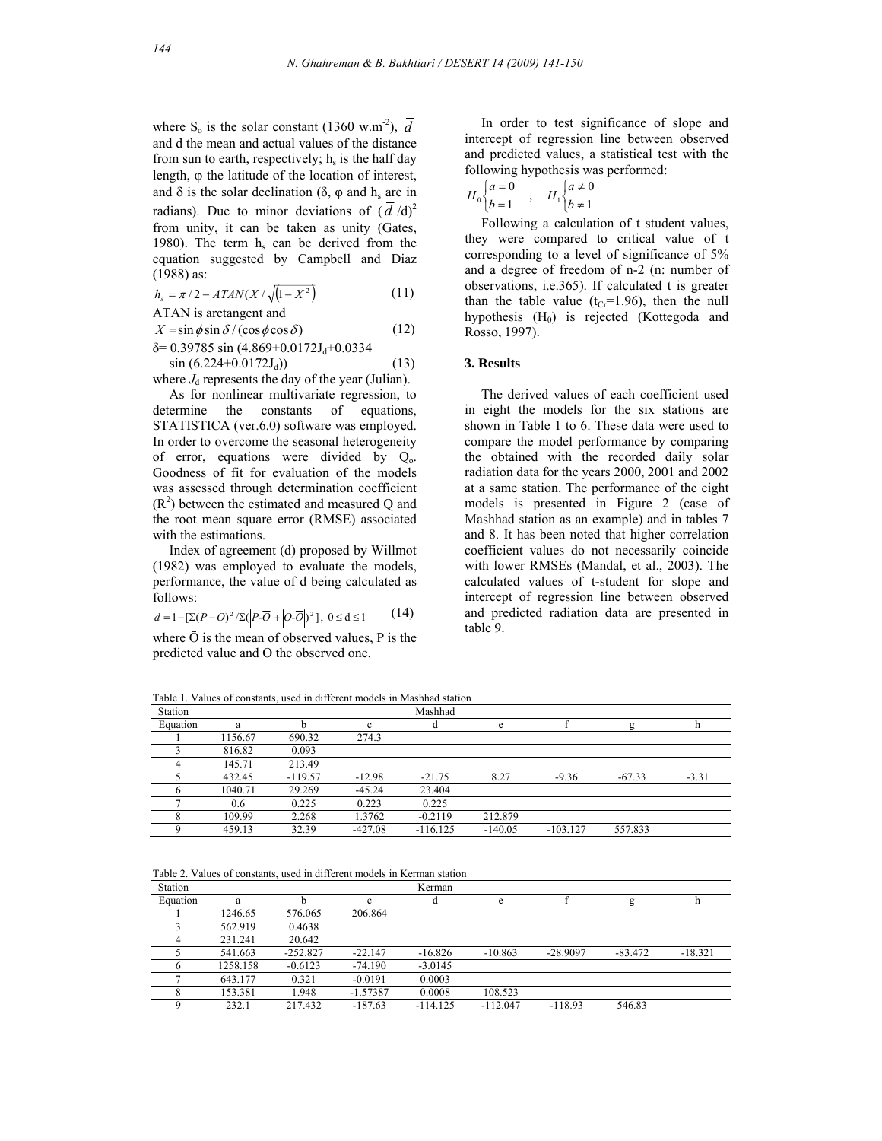where S<sub>o</sub> is the solar constant (1360 w.m<sup>-2</sup>),  $\overline{d}$ and d the mean and actual values of the distance from sun to earth, respectively;  $h_s$  is the half day length,  $\varphi$  the latitude of the location of interest, and  $\delta$  is the solar declination ( $\delta$ ,  $\varphi$  and  $h_s$  are in radians). Due to minor deviations of  $(\overline{d}/d)^2$ from unity, it can be taken as unity (Gates, 1980). The term  $h<sub>s</sub>$  can be derived from the equation suggested by Campbell and Diaz (1988) as:

$$
h_s = \pi/2 - ATAN(X/\sqrt{(1-X^2)}\tag{11}
$$

ATAN is arctangent and

$$
X = \sin \phi \sin \delta / (\cos \phi \cos \delta)
$$
 (12)

$$
\delta = 0.39785 \sin (4.869 + 0.0172 \text{J}_{d} + 0.0334
$$
  
sin (6.224 + 0.0172 \text{J}\_{d}) (13)

where  $J_d$  represents the day of the year (Julian).

 As for nonlinear multivariate regression, to determine the constants of equations, STATISTICA (ver.6.0) software was employed. In order to overcome the seasonal heterogeneity of error, equations were divided by  $Q_0$ . Goodness of fit for evaluation of the models was assessed through determination coefficient  $(R<sup>2</sup>)$  between the estimated and measured Q and the root mean square error (RMSE) associated with the estimations.

 Index of agreement (d) proposed by Willmot (1982) was employed to evaluate the models, performance, the value of d being calculated as follows:

$$
d = 1 - \left[\Sigma (P - O)^2 / \Sigma (P - \overline{O}) + |O - \overline{O}|^2\right], \ 0 \le d \le 1 \tag{14}
$$

where  $\bar{O}$  is the mean of observed values, P is the predicted value and O the observed one.

 In order to test significance of slope and intercept of regression line between observed and predicted values, a statistical test with the following hypothesis was performed:

$$
H_0 \begin{cases} a = 0 \\ b = 1 \end{cases}, \quad H_1 \begin{cases} a \neq 0 \\ b \neq 1 \end{cases}
$$

 Following a calculation of t student values, they were compared to critical value of t corresponding to a level of significance of 5% and a degree of freedom of n-2 (n: number of observations, i.e.365). If calculated t is greater than the table value  $(t_{Cr} = 1.96)$ , then the null hypothesis  $(H_0)$  is rejected (Kottegoda and Rosso, 1997).

#### **3. Results**

 The derived values of each coefficient used in eight the models for the six stations are shown in Table 1 to 6. These data were used to compare the model performance by comparing the obtained with the recorded daily solar radiation data for the years 2000, 2001 and 2002 at a same station. The performance of the eight models is presented in Figure 2 (case of Mashhad station as an example) and in tables 7 and 8. It has been noted that higher correlation coefficient values do not necessarily coincide with lower RMSEs (Mandal, et al., 2003). The calculated values of t-student for slope and intercept of regression line between observed and predicted radiation data are presented in table 9.

Table 1. Values of constants, used in different models in Mashhad station

| Station  |         |           |           | Mashhad    |           |            |          |         |
|----------|---------|-----------|-----------|------------|-----------|------------|----------|---------|
| Equation | a       |           | c         |            | e         |            | ø        |         |
|          | 1156.67 | 690.32    | 274.3     |            |           |            |          |         |
|          | 816.82  | 0.093     |           |            |           |            |          |         |
|          | 145.71  | 213.49    |           |            |           |            |          |         |
|          | 432.45  | $-119.57$ | $-12.98$  | $-21.75$   | 8.27      | $-9.36$    | $-67.33$ | $-3.31$ |
|          | 1040.71 | 29.269    | $-45.24$  | 23.404     |           |            |          |         |
|          | 0.6     | 0.225     | 0.223     | 0.225      |           |            |          |         |
|          | 109.99  | 2.268     | 1.3762    | $-0.2119$  | 212.879   |            |          |         |
|          | 459.13  | 32.39     | $-427.08$ | $-116.125$ | $-140.05$ | $-103.127$ | 557.833  |         |

Table 2. Values of constants, used in different models in Kerman station

| Station  |          |            |            | Kerman     |            |            |           |           |
|----------|----------|------------|------------|------------|------------|------------|-----------|-----------|
| Equation | a        |            | c          |            | e          |            | g         |           |
|          | 1246.65  | 576.065    | 206.864    |            |            |            |           |           |
|          | 562.919  | 0.4638     |            |            |            |            |           |           |
|          | 231.241  | 20.642     |            |            |            |            |           |           |
|          | 541.663  | $-252.827$ | $-22.147$  | $-16.826$  | $-10.863$  | $-28.9097$ | $-83.472$ | $-18.321$ |
|          | 1258.158 | $-0.6123$  | $-74.190$  | $-3.0145$  |            |            |           |           |
|          | 643.177  | 0.321      | $-0.0191$  | 0.0003     |            |            |           |           |
|          | 153.381  | 1.948      | $-1.57387$ | 0.0008     | 108.523    |            |           |           |
|          | 232.1    | 217.432    | $-187.63$  | $-114.125$ | $-112.047$ | $-118.93$  | 546.83    |           |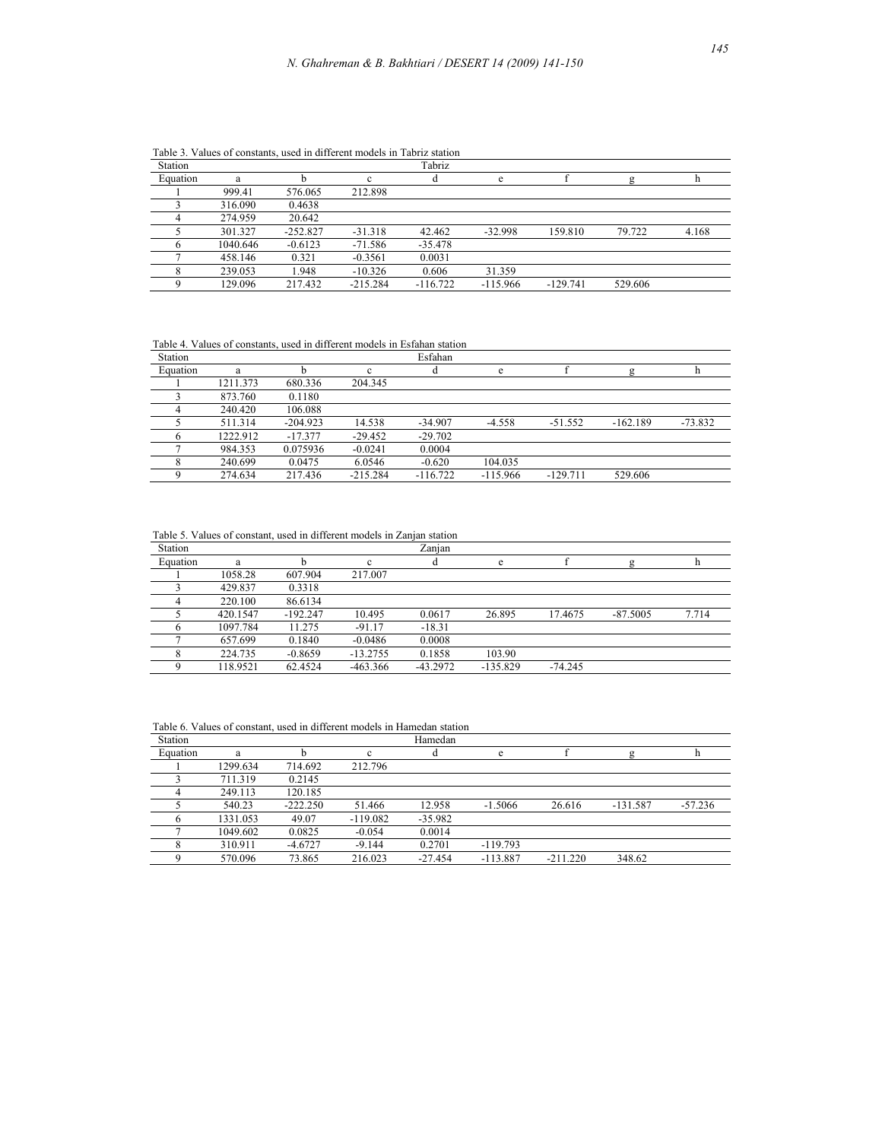| Station  |          |            |            | Tabriz     |            |            |         |       |
|----------|----------|------------|------------|------------|------------|------------|---------|-------|
| Equation | a        |            | c          |            | e          |            |         |       |
|          | 999.41   | 576.065    | 212.898    |            |            |            |         |       |
|          | 316.090  | 0.4638     |            |            |            |            |         |       |
|          | 274.959  | 20.642     |            |            |            |            |         |       |
|          | 301.327  | $-252.827$ | $-31.318$  | 42.462     | $-32.998$  | 159.810    | 79.722  | 4.168 |
|          | 1040.646 | $-0.6123$  | $-71.586$  | $-35.478$  |            |            |         |       |
|          | 458.146  | 0.321      | $-0.3561$  | 0.0031     |            |            |         |       |
|          | 239.053  | 1.948      | $-10.326$  | 0.606      | 31.359     |            |         |       |
|          | 129.096  | 217.432    | $-215.284$ | $-116.722$ | $-115.966$ | $-129.741$ | 529.606 |       |

Table 3. Values of constants, used in different models in Tabriz station

Table 4. Values of constants, used in different models in Esfahan station

| Station  |          |            |            | Esfahan    |            |            |            |           |
|----------|----------|------------|------------|------------|------------|------------|------------|-----------|
| Equation | a        |            | c.         |            | e          |            | g          |           |
|          | 1211.373 | 680.336    | 204.345    |            |            |            |            |           |
|          | 873.760  | 0.1180     |            |            |            |            |            |           |
|          | 240.420  | 106.088    |            |            |            |            |            |           |
|          | 511.314  | $-204.923$ | 14.538     | $-34.907$  | $-4.558$   | $-51.552$  | $-162.189$ | $-73.832$ |
|          | 1222.912 | $-17.377$  | $-29.452$  | $-29.702$  |            |            |            |           |
|          | 984.353  | 0.075936   | $-0.0241$  | 0.0004     |            |            |            |           |
|          | 240.699  | 0.0475     | 6.0546     | $-0.620$   | 104.035    |            |            |           |
|          | 274.634  | 217.436    | $-215.284$ | $-116.722$ | $-115.966$ | $-129.711$ | 529.606    |           |

Table 5. Values of constant, used in different models in Zanjan station

| Station  |          |            |              | Zanjan     |            |           |            |       |
|----------|----------|------------|--------------|------------|------------|-----------|------------|-------|
| Equation | a        |            | $\mathbf{c}$ |            | e          |           | ø          |       |
|          | 1058.28  | 607.904    | 217.007      |            |            |           |            |       |
|          | 429.837  | 0.3318     |              |            |            |           |            |       |
|          | 220.100  | 86.6134    |              |            |            |           |            |       |
|          | 420.1547 | $-192.247$ | 10.495       | 0.0617     | 26.895     | 17.4675   | $-87.5005$ | 7.714 |
|          | 1097.784 | 11.275     | $-91.17$     | $-18.31$   |            |           |            |       |
|          | 657.699  | 0.1840     | $-0.0486$    | 0.0008     |            |           |            |       |
|          | 224.735  | $-0.8659$  | $-13.2755$   | 0.1858     | 103.90     |           |            |       |
|          | 118.9521 | 62.4524    | $-463.366$   | $-43.2972$ | $-135.829$ | $-74.245$ |            |       |

Table 6. Values of constant, used in different models in Hamedan station

| Station  |          |            |            | Hamedan   |            |            |            |           |
|----------|----------|------------|------------|-----------|------------|------------|------------|-----------|
| Equation | a        |            | c          |           | e          |            |            |           |
|          | 1299.634 | 714.692    | 212.796    |           |            |            |            |           |
|          | 711.319  | 0.2145     |            |           |            |            |            |           |
|          | 249.113  | 120.185    |            |           |            |            |            |           |
|          | 540.23   | $-222.250$ | 51.466     | 12.958    | $-1.5066$  | 26.616     | $-131.587$ | $-57.236$ |
|          | 1331.053 | 49.07      | $-119.082$ | $-35.982$ |            |            |            |           |
|          | 1049.602 | 0.0825     | $-0.054$   | 0.0014    |            |            |            |           |
|          | 310.911  | $-4.6727$  | $-9.144$   | 0.2701    | $-119.793$ |            |            |           |
|          | 570.096  | 73.865     | 216.023    | $-27.454$ | $-113.887$ | $-211.220$ | 348.62     |           |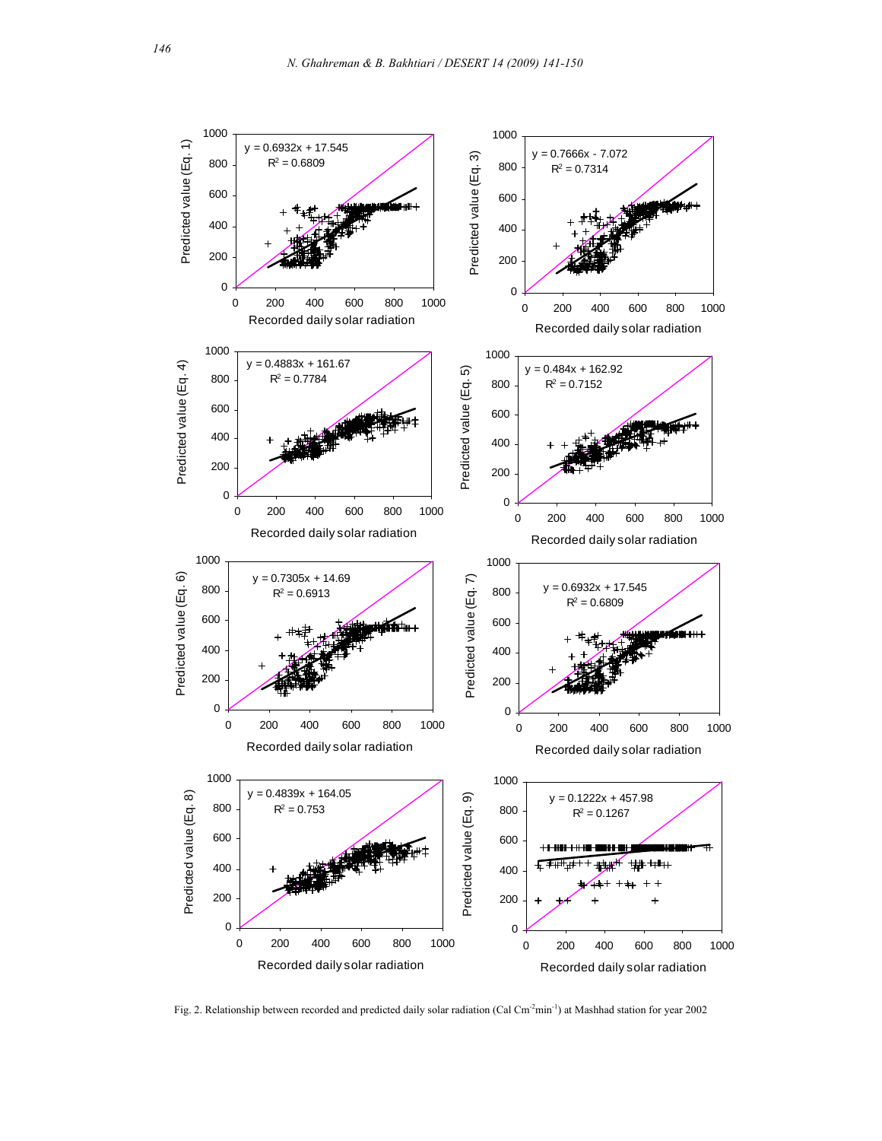

Fig. 2. Relationship between recorded and predicted daily solar radiation (Cal Cm<sup>-2</sup>min<sup>-1</sup>) at Mashhad station for year 2002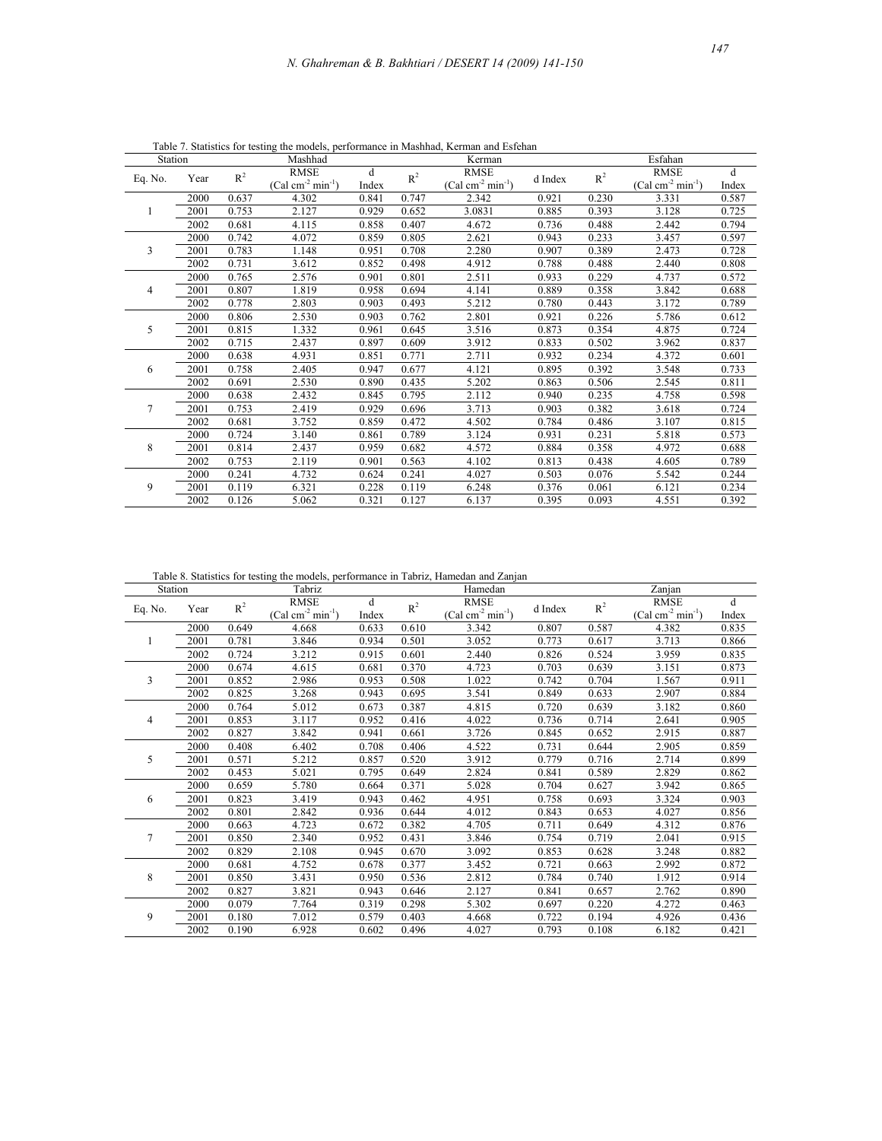|                  |      |       |                                                 |       |       | able 7. Statistics for testing the models, performance in Mashhad, Kerman and Esfehan |         |         |                                   |            |  |
|------------------|------|-------|-------------------------------------------------|-------|-------|---------------------------------------------------------------------------------------|---------|---------|-----------------------------------|------------|--|
| Station          |      |       | Mashhad                                         |       |       | Kerman                                                                                |         | Esfahan |                                   |            |  |
| $\overline{O}$ . | Year | $R^2$ | <b>RMSE</b><br>d<br>$(Cal cm-2 min-1)$<br>Index |       | $R^2$ | <b>RMSE</b><br>$(Cal cm-2 min-1)$                                                     | d Index | $R^2$   | <b>RMSE</b><br>$(Cal cm-2 min-1)$ | d<br>Index |  |
|                  | 2000 | 0.637 | 4.302                                           | 0.841 | 0.747 | 2.342                                                                                 | 0.921   | 0.230   | 3.331                             | 0.587      |  |
|                  | 2001 | 0.753 | 2.127                                           | 0.929 | 0.652 | 3.0831                                                                                | 0.885   | 0.393   | 3.128                             | 0.725      |  |
|                  | 2002 | 0.681 | 4.115                                           | 0.858 | 0.407 | 4.672                                                                                 | 0.736   | 0.488   | 2.442                             | 0.794      |  |
|                  | 2000 | 0.742 | 4.072                                           | 0.859 | 0.805 | 2.621                                                                                 | 0.943   | 0.233   | 3.457                             | 0.597      |  |
|                  | 2001 | 0.783 | 1.148                                           | 0.951 | 0.708 | 2.280                                                                                 | 0.907   | 0.389   | 2.473                             | 0.728      |  |
|                  | 2002 | 0.731 | 3.612                                           | 0.852 | 0.498 | 4.912                                                                                 | 0.788   | 0.488   | 2.440                             | 0.808      |  |
|                  | 2000 | 0.765 | 2.576                                           | 0.901 | 0.801 | 2.511                                                                                 | 0.933   | 0.229   | 4.737                             | 0.572      |  |
|                  | 2001 | 0.807 | 1.819                                           | 0.958 | 0.694 | 4.141                                                                                 | 0.889   | 0.358   | 3.842                             | 0.688      |  |

2002 0.778 2.803 0.903 0.493 5.212 0.780 0.443 3.172 0.789

2000 0.806 2.530 0.903 0.762 2.801 0.921 0.226 5.786 0.612 2001 0.815 1.332 0.961 0.645 3.516 0.873 0.354 4.875 0.724 2002 0.715 2.437 0.897 0.609 3.912 0.833 0.502 3.962 0.837

2000 0.638 4.931 0.851 0.771 2.711 0.932 0.234 4.372 0.601 2001 0.758 2.405 0.947 0.677 4.121 0.895 0.392 3.548 0.733 2002 0.691 2.530 0.890 0.435 5.202 0.863 0.506 2.545 0.811

2000 0.638 2.432 0.845 0.795 2.112 0.940 0.235 4.758 0.598 2001 0.753 2.419 0.929 0.696 3.713 0.903 0.382 3.618 0.724 2002 0.681 3.752 0.859 0.472 4.502 0.784 0.486 3.107 0.815

2000 0.724 3.140 0.861 0.789 3.124 0.931 0.231 5.818 0.573 2001 0.814 2.437 0.959 0.682 4.572 0.884 0.358 4.972 0.688 2002 0.753 2.119 0.901 0.563 4.102 0.813 0.438 4.605 0.789

2000 0.241 4.732 0.624 0.241 4.027 0.503 0.076 5.542 0.244 2001 0.119 6.321 0.228 0.119 6.248 0.376 0.061 6.121 0.234 2002 0.126 5.062 0.321 0.127 6.137 0.395 0.093 4.551 0.392

Table 7. Statistics for testing the

Eq. No. Year  $R^2$ 

1

3

4

5

6

7

8

9

Table 8. Statistics for testing the models, performance in Tabriz, Hamedan and Zanjan

| Station |      |       | Tabriz             |       |                | Table 6. Statistics for testing the models, performance in Tabliz, Hamedan and Zanjan<br>Hamedan |         |       | Zanjan             |       |
|---------|------|-------|--------------------|-------|----------------|--------------------------------------------------------------------------------------------------|---------|-------|--------------------|-------|
|         |      |       | <b>RMSE</b>        | d     |                | <b>RMSE</b>                                                                                      |         |       | <b>RMSE</b>        | d     |
| Eq. No. | Year | $R^2$ | $(Cal cm-2 min-1)$ | Index | R <sup>2</sup> | $(Cal cm-2 min-1)$                                                                               | d Index | $R^2$ | $(Cal cm-2 min-1)$ | Index |
|         | 2000 | 0.649 | 4.668              | 0.633 | 0.610          | 3.342                                                                                            | 0.807   | 0.587 | 4.382              | 0.835 |
|         | 2001 | 0.781 | 3.846              | 0.934 | 0.501          | 3.052                                                                                            | 0.773   | 0.617 | 3.713              | 0.866 |
|         | 2002 | 0.724 | 3.212              | 0.915 | 0.601          | 2.440                                                                                            | 0.826   | 0.524 | 3.959              | 0.835 |
|         | 2000 | 0.674 | 4.615              | 0.681 | 0.370          | 4.723                                                                                            | 0.703   | 0.639 | 3.151              | 0.873 |
| 3       | 2001 | 0.852 | 2.986              | 0.953 | 0.508          | 1.022                                                                                            | 0.742   | 0.704 | 1.567              | 0.911 |
|         | 2002 | 0.825 | 3.268              | 0.943 | 0.695          | 3.541                                                                                            | 0.849   | 0.633 | 2.907              | 0.884 |
|         | 2000 | 0.764 | 5.012              | 0.673 | 0.387          | 4.815                                                                                            | 0.720   | 0.639 | 3.182              | 0.860 |
| 4       | 2001 | 0.853 | 3.117              | 0.952 | 0.416          | 4.022                                                                                            | 0.736   | 0.714 | 2.641              | 0.905 |
|         | 2002 | 0.827 | 3.842              | 0.941 | 0.661          | 3.726                                                                                            | 0.845   | 0.652 | 2.915              | 0.887 |
|         | 2000 | 0.408 | 6.402              | 0.708 | 0.406          | 4.522                                                                                            | 0.731   | 0.644 | 2.905              | 0.859 |
| 5       | 2001 | 0.571 | 5.212              | 0.857 | 0.520          | 3.912                                                                                            | 0.779   | 0.716 | 2.714              | 0.899 |
|         | 2002 | 0.453 | 5.021              | 0.795 | 0.649          | 2.824                                                                                            | 0.841   | 0.589 | 2.829              | 0.862 |
|         | 2000 | 0.659 | 5.780              | 0.664 | 0.371          | 5.028                                                                                            | 0.704   | 0.627 | 3.942              | 0.865 |
| 6       | 2001 | 0.823 | 3.419              | 0.943 | 0.462          | 4.951                                                                                            | 0.758   | 0.693 | 3.324              | 0.903 |
|         | 2002 | 0.801 | 2.842              | 0.936 | 0.644          | 4.012                                                                                            | 0.843   | 0.653 | 4.027              | 0.856 |
|         | 2000 | 0.663 | 4.723              | 0.672 | 0.382          | 4.705                                                                                            | 0.711   | 0.649 | 4.312              | 0.876 |
| 7       | 2001 | 0.850 | 2.340              | 0.952 | 0.431          | 3.846                                                                                            | 0.754   | 0.719 | 2.041              | 0.915 |
|         | 2002 | 0.829 | 2.108              | 0.945 | 0.670          | 3.092                                                                                            | 0.853   | 0.628 | 3.248              | 0.882 |
|         | 2000 | 0.681 | 4.752              | 0.678 | 0.377          | 3.452                                                                                            | 0.721   | 0.663 | 2.992              | 0.872 |
| 8       | 2001 | 0.850 | 3.431              | 0.950 | 0.536          | 2.812                                                                                            | 0.784   | 0.740 | 1.912              | 0.914 |
|         | 2002 | 0.827 | 3.821              | 0.943 | 0.646          | 2.127                                                                                            | 0.841   | 0.657 | 2.762              | 0.890 |
|         | 2000 | 0.079 | 7.764              | 0.319 | 0.298          | 5.302                                                                                            | 0.697   | 0.220 | 4.272              | 0.463 |
| 9       | 2001 | 0.180 | 7.012              | 0.579 | 0.403          | 4.668                                                                                            | 0.722   | 0.194 | 4.926              | 0.436 |
|         | 2002 | 0.190 | 6.928              | 0.602 | 0.496          | 4.027                                                                                            | 0.793   | 0.108 | 6.182              | 0.421 |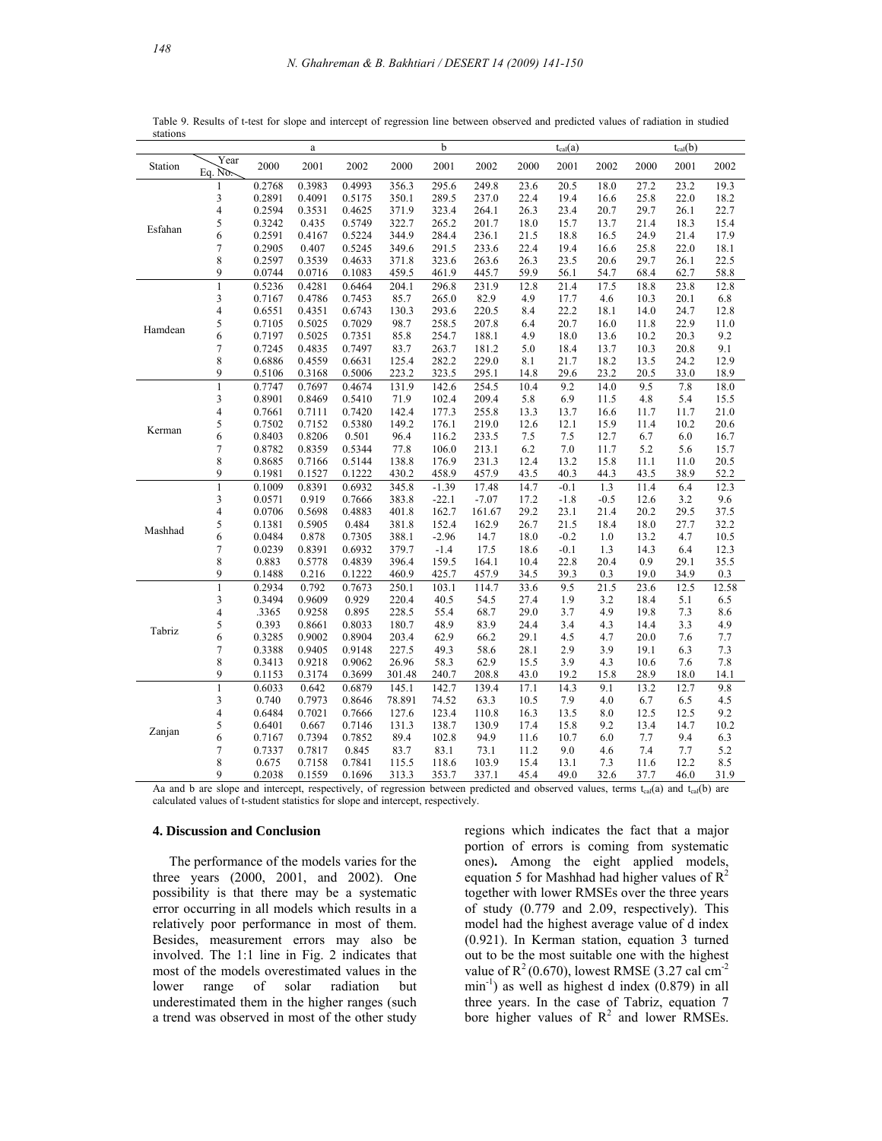|         |                         |                 | a                |                  |                | b              |                |              | $t_{cal}(a)$ |            |              | $t_{cal}(b)$ |            |
|---------|-------------------------|-----------------|------------------|------------------|----------------|----------------|----------------|--------------|--------------|------------|--------------|--------------|------------|
| Station | Year<br>Eq. $N\delta$ . | 2000            | 2001             | 2002             | 2000           | 2001           | 2002           | 2000         | 2001         | 2002       | 2000         | 2001         | 2002       |
|         | 1                       | 0.2768          | 0.3983           | 0.4993           | 356.3          | 295.6          | 249.8          | 23.6         | 20.5         | 18.0       | 27.2         | 23.2         | 19.3       |
|         | 3                       | 0.2891          | 0.4091           | 0.5175           | 350.1          | 289.5          | 237.0          | 22.4         | 19.4         | 16.6       | 25.8         | 22.0         | 18.2       |
|         | 4                       | 0.2594          | 0.3531           | 0.4625           | 371.9          | 323.4          | 264.1          | 26.3         | 23.4         | 20.7       | 29.7         | 26.1         | 22.7       |
| Esfahan | 5                       | 0.3242          | 0.435            | 0.5749           | 322.7          | 265.2          | 201.7          | 18.0         | 15.7         | 13.7       | 21.4         | 18.3         | 15.4       |
|         | 6                       | 0.2591          | 0.4167           | 0.5224           | 344.9          | 284.4          | 236.1          | 21.5         | 18.8         | 16.5       | 24.9         | 21.4         | 17.9       |
|         | 7                       | 0.2905          | 0.407            | 0.5245           | 349.6          | 291.5          | 233.6          | 22.4         | 19.4         | 16.6       | 25.8         | 22.0         | 18.1       |
|         | 8                       | 0.2597          | 0.3539           | 0.4633           | 371.8          | 323.6          | 263.6          | 26.3         | 23.5         | 20.6       | 29.7         | 26.1         | 22.5       |
|         | 9                       | 0.0744          | 0.0716           | 0.1083           | 459.5          | 461.9          | 445.7          | 59.9         | 56.1         | 54.7       | 68.4         | 62.7         | 58.8       |
|         | $\mathbf{1}$            | 0.5236          | 0.4281           | 0.6464           | 204.1          | 296.8          | 231.9          | 12.8         | 21.4         | 17.5       | 18.8         | 23.8         | 12.8       |
|         | 3                       | 0.7167          | 0.4786           | 0.7453           | 85.7           | 265.0          | 82.9           | 4.9          | 17.7         | 4.6        | 10.3         | 20.1         | 6.8        |
|         | 4                       | 0.6551          | 0.4351           | 0.6743           | 130.3          | 293.6          | 220.5          | 8.4          | 22.2         | 18.1       | 14.0         | 24.7         | 12.8       |
| Hamdean | 5                       | 0.7105          | 0.5025           | 0.7029           | 98.7           | 258.5          | 207.8          | 6.4          | 20.7         | 16.0       | 11.8         | 22.9         | 11.0       |
|         | 6                       | 0.7197          | 0.5025           | 0.7351           | 85.8           | 254.7          | 188.1          | 4.9          | 18.0         | 13.6       | 10.2         | 20.3         | 9.2        |
|         | 7                       | 0.7245          | 0.4835           | 0.7497           | 83.7           | 263.7          | 181.2          | 5.0          | 18.4         | 13.7       | 10.3         | 20.8         | 9.1        |
|         | 8                       | 0.6886          | 0.4559           | 0.6631           | 125.4          | 282.2          | 229.0          | 8.1          | 21.7         | 18.2       | 13.5         | 24.2         | 12.9       |
|         | 9                       | 0.5106          | 0.3168           | 0.5006           | 223.2          | 323.5          | 295.1          | 14.8         | 29.6         | 23.2       | 20.5         | 33.0         | 18.9       |
|         | $\mathbf{1}$            | 0.7747          | 0.7697           | 0.4674           | 131.9          | 142.6          | 254.5          | 10.4         | 9.2          | 14.0       | 9.5          | 7.8          | 18.0       |
|         | 3                       | 0.8901          | 0.8469           | 0.5410           | 71.9           | 102.4          | 209.4          | 5.8          | 6.9          | 11.5       | 4.8          | 5.4          | 15.5       |
|         | 4                       | 0.7661          | 0.7111           | 0.7420           | 142.4          | 177.3          | 255.8          | 13.3         | 13.7         | 16.6       | 11.7         | 11.7         | 21.0       |
| Kerman  | 5                       | 0.7502          | 0.7152           | 0.5380           | 149.2          | 176.1          | 219.0          | 12.6         | 12.1         | 15.9       | 11.4         | 10.2         | 20.6       |
|         | 6                       | 0.8403          | 0.8206           | 0.501            | 96.4           | 116.2          | 233.5          | 7.5          | 7.5          | 12.7       | 6.7          | 6.0          | 16.7       |
|         | 7                       | 0.8782          | 0.8359           | 0.5344           | 77.8           | 106.0          | 213.1          | 6.2          | 7.0          | 11.7       | 5.2          | 5.6          | 15.7       |
|         | 8                       | 0.8685          | 0.7166           | 0.5144           | 138.8          | 176.9          | 231.3          | 12.4         | 13.2         | 15.8       | 11.1         | 11.0         | 20.5       |
|         | 9                       | 0.1981          | 0.1527           | 0.1222           | 430.2          | 458.9          | 457.9          | 43.5         | 40.3         | 44.3       | 43.5         | 38.9         | 52.2       |
|         | 1                       | 0.1009          | 0.8391           | 0.6932           | 345.8          | $-1.39$        | 17.48          | 14.7         | $-0.1$       | 1.3        | 11.4         | 6.4          | 12.3       |
|         | 3                       | 0.0571          | 0.919            | 0.7666           | 383.8          | $-22.1$        | $-7.07$        | 17.2         | $-1.8$       | $-0.5$     | 12.6         | 3.2          | 9.6        |
|         | 4                       | 0.0706          | 0.5698           | 0.4883           | 401.8          | 162.7          | 161.67         | 29.2         | 23.1         | 21.4       | 20.2         | 29.5         | 37.5       |
| Mashhad | 5                       | 0.1381          | 0.5905           | 0.484            | 381.8          | 152.4          | 162.9          | 26.7         | 21.5         | 18.4       | 18.0         | 27.7         | 32.2       |
|         | 6                       | 0.0484          | 0.878            | 0.7305           | 388.1          | $-2.96$        | 14.7           | 18.0         | $-0.2$       | 1.0        | 13.2         | 4.7          | 10.5       |
|         | 7                       | 0.0239          | 0.8391           | 0.6932           | 379.7          | $-1.4$         | 17.5           | 18.6         | $-0.1$       | 1.3        | 14.3         | 6.4          | 12.3       |
|         | 8                       | 0.883           | 0.5778           | 0.4839           | 396.4          | 159.5          | 164.1          | 10.4         | 22.8         | 20.4       | 0.9          | 29.1         | 35.5       |
|         | 9                       | 0.1488          | 0.216            | 0.1222           | 460.9          | 425.7          | 457.9          | 34.5         | 39.3         | 0.3        | 19.0         | 34.9         | 0.3        |
|         | $\mathbf{1}$            | 0.2934          | 0.792            | 0.7673           | 250.1          | 103.1          | 114.7          | 33.6         | 9.5          | 21.5       | 23.6         | 12.5         | 12.58      |
|         | 3                       | 0.3494          | 0.9609           | 0.929            | 220.4          | 40.5           | 54.5           | 27.4         | 1.9          | 3.2        | 18.4         | 5.1          | 6.5        |
|         | 4                       | .3365           | 0.9258           | 0.895            | 228.5          | 55.4           | 68.7           | 29.0         | 3.7          | 4.9        | 19.8         | 7.3          | 8.6        |
| Tabriz  | 5                       | 0.393           | 0.8661           | 0.8033           | 180.7          | 48.9           | 83.9           | 24.4         | 3.4          | 4.3        | 14.4         | 3.3          | 4.9        |
|         | 6                       | 0.3285          | 0.9002           | 0.8904           | 203.4          | 62.9           | 66.2           | 29.1         | 4.5          | 4.7        | 20.0         | 7.6          | 7.7        |
|         | 7                       | 0.3388          | 0.9405           | 0.9148           | 227.5          | 49.3           | 58.6           | 28.1         | 2.9          | 3.9        | 19.1         | 6.3          | 7.3        |
|         | 8<br>9                  | 0.3413          | 0.9218           | 0.9062           | 26.96          | 58.3           | 62.9           | 15.5         | 3.9          | 4.3        | 10.6         | 7.6          | 7.8        |
|         | $\mathbf{1}$            | 0.1153          | 0.3174           | 0.3699           | 301.48         | 240.7          | 208.8          | 43.0         | 19.2         | 15.8       | 28.9         | 18.0         | 14.1       |
|         |                         | 0.6033          | 0.642            | 0.6879           | 145.1          | 142.7          | 139.4          | 17.1         | 14.3         | 9.1        | 13.2         | 12.7         | 9.8        |
|         | 3<br>4                  | 0.740<br>0.6484 | 0.7973           | 0.8646           | 78.891         | 74.52<br>123.4 | 63.3           | 10.5         | 7.9<br>13.5  | 4.0        | 6.7<br>12.5  | 6.5<br>12.5  | 4.5<br>9.2 |
|         |                         |                 | 0.7021           | 0.7666           | 127.6          |                | 110.8          | 16.3         |              | 8.0        |              |              |            |
| Zanjan  | 5                       | 0.6401          | 0.667            | 0.7146           | 131.3          | 138.7          | 130.9          | 17.4         | 15.8         | 9.2        | 13.4         | 14.7         | 10.2       |
|         | 6                       | 0.7167          | 0.7394           | 0.7852           | 89.4           | 102.8          | 94.9           | 11.6         | 10.7         | 6.0        | 7.7          | 9.4          | 6.3        |
|         | 7<br>8                  | 0.7337          | 0.7817           | 0.845            | 83.7           | 83.1           | 73.1           | 11.2         | 9.0          | 4.6<br>7.3 | 7.4          | 7.7<br>12.2  | 5.2<br>8.5 |
|         | 9                       | 0.675<br>0.2038 | 0.7158<br>0.1559 | 0.7841<br>0.1696 | 115.5<br>313.3 | 118.6<br>353.7 | 103.9<br>337.1 | 15.4<br>45.4 | 13.1<br>49.0 | 32.6       | 11.6<br>37.7 | 46.0         | 31.9       |
|         |                         |                 |                  |                  |                |                |                |              |              |            |              |              |            |

Table 9. Results of t-test for slope and intercept of regression line between observed and predicted values of radiation in studied stations

Aa and b are slope and intercept, respectively, of regression between predicted and observed values, terms  $t<sub>cal</sub>(a)$  and  $t<sub>cal</sub>(b)$  are calculated values of t-student statistics for slope and intercept, respectively.

## **4. Discussion and Conclusion**

 The performance of the models varies for the three years (2000, 2001, and 2002). One possibility is that there may be a systematic error occurring in all models which results in a relatively poor performance in most of them. Besides, measurement errors may also be involved. The 1:1 line in Fig. 2 indicates that most of the models overestimated values in the lower range of solar radiation but underestimated them in the higher ranges (such a trend was observed in most of the other study regions which indicates the fact that a major portion of errors is coming from systematic ones)**.** Among the eight applied models, equation 5 for Mashhad had higher values of  $R^2$ together with lower RMSEs over the three years of study (0.779 and 2.09, respectively). This model had the highest average value of d index (0.921). In Kerman station, equation 3 turned out to be the most suitable one with the highest value of  $R^2$  (0.670), lowest RMSE (3.27 cal cm<sup>-2</sup>  $min^{-1}$ ) as well as highest d index (0.879) in all three years. In the case of Tabriz, equation 7 bore higher values of  $R^2$  and lower RMSEs.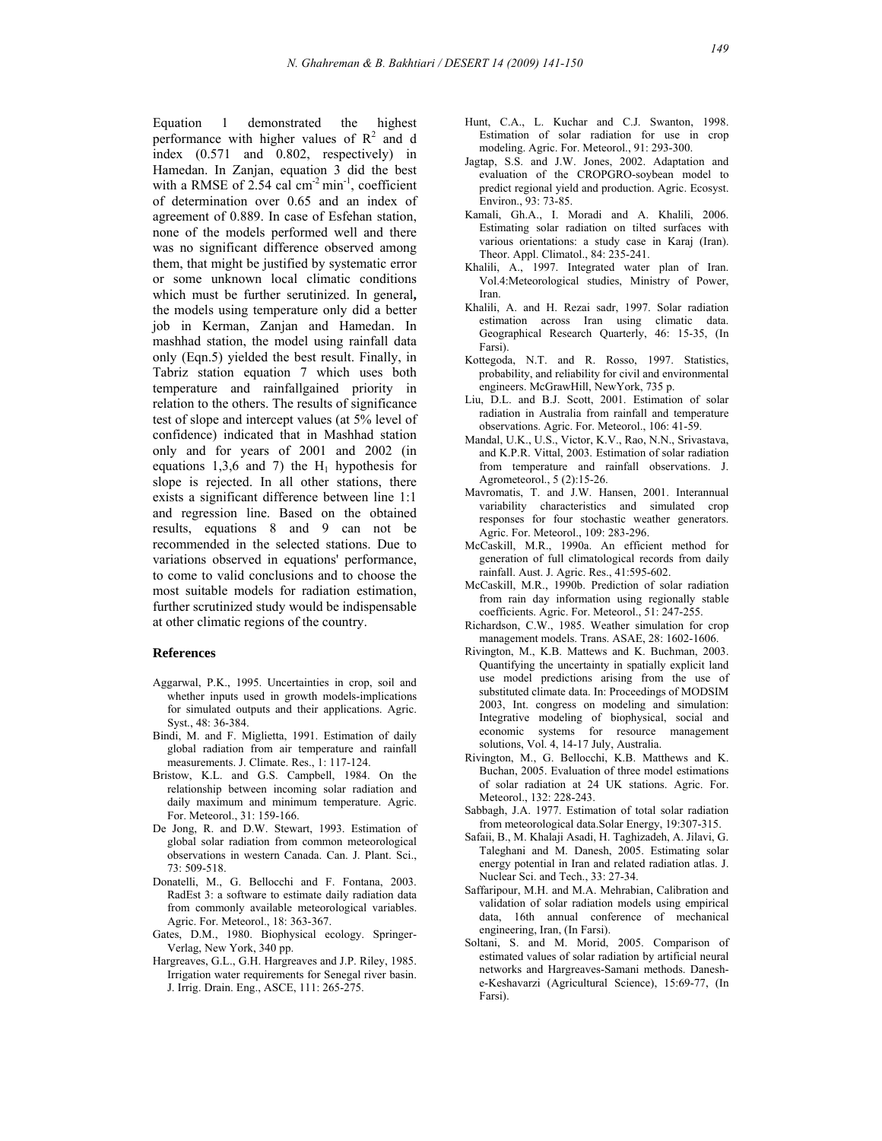Equation 1 demonstrated the highest performance with higher values of  $R^2$  and d index (0.571 and 0.802, respectively) in Hamedan. In Zanjan, equation 3 did the best with a RMSE of  $2.54$  cal cm<sup>-2</sup> min<sup>-1</sup>, coefficient of determination over 0.65 and an index of agreement of 0.889. In case of Esfehan station, none of the models performed well and there was no significant difference observed among them, that might be justified by systematic error or some unknown local climatic conditions which must be further serutinized. In general**,**  the models using temperature only did a better job in Kerman, Zanjan and Hamedan. In mashhad station, the model using rainfall data only (Eqn.5) yielded the best result. Finally, in Tabriz station equation 7 which uses both temperature and rainfallgained priority in relation to the others. The results of significance test of slope and intercept values (at 5% level of confidence) indicated that in Mashhad station only and for years of 2001 and 2002 (in equations 1,3,6 and 7) the  $H_1$  hypothesis for slope is rejected. In all other stations, there exists a significant difference between line 1:1 and regression line. Based on the obtained results, equations 8 and 9 can not be recommended in the selected stations. Due to variations observed in equations' performance, to come to valid conclusions and to choose the most suitable models for radiation estimation, further scrutinized study would be indispensable at other climatic regions of the country.

#### **References**

- Aggarwal, P.K., 1995. Uncertainties in crop, soil and whether inputs used in growth models-implications for simulated outputs and their applications. Agric. Syst., 48: 36-384.
- Bindi, M. and F. Miglietta, 1991. Estimation of daily global radiation from air temperature and rainfall measurements. J. Climate. Res., 1: 117-124.
- Bristow, K.L. and G.S. Campbell, 1984. On the relationship between incoming solar radiation and daily maximum and minimum temperature. Agric. For. Meteorol., 31: 159-166.
- De Jong, R. and D.W. Stewart, 1993. Estimation of global solar radiation from common meteorological observations in western Canada. Can. J. Plant. Sci., 73: 509-518.
- Donatelli, M., G. Bellocchi and F. Fontana, 2003. RadEst 3: a software to estimate daily radiation data from commonly available meteorological variables. Agric. For. Meteorol., 18: 363-367.
- Gates, D.M., 1980. Biophysical ecology. Springer- Verlag, New York, 340 pp.
- Hargreaves, G.L., G.H. Hargreaves and J.P. Riley, 1985. Irrigation water requirements for Senegal river basin. J. Irrig. Drain. Eng., ASCE, 111: 265-275.
- Hunt, C.A., L. Kuchar and C.J. Swanton, 1998. Estimation of solar radiation for use in crop modeling. Agric. For. Meteorol., 91: 293-300.
- Jagtap, S.S. and J.W. Jones, 2002. Adaptation and evaluation of the CROPGRO-soybean model to predict regional yield and production. Agric. Ecosyst. Environ., 93: 73-85.
- Kamali, Gh.A., I. Moradi and A. Khalili, 2006. Estimating solar radiation on tilted surfaces with various orientations: a study case in Karaj (Iran). Theor. Appl. Climatol., 84: 235-241.
- Khalili, A., 1997. Integrated water plan of Iran. Vol.4:Meteorological studies, Ministry of Power, Iran.
- Khalili, A. and H. Rezai sadr, 1997. Solar radiation estimation across Iran using climatic data. Geographical Research Quarterly, 46: 15-35, (In Farsi).
- Kottegoda, N.T. and R. Rosso, 1997. Statistics, probability, and reliability for civil and environmental engineers. McGrawHill, NewYork, 735 p.
- Liu, D.L. and B.J. Scott, 2001. Estimation of solar radiation in Australia from rainfall and temperature observations. Agric. For. Meteorol., 106: 41-59.
- Mandal, U.K., U.S., Victor, K.V., Rao, N.N., Srivastava, and K.P.R. Vittal, 2003. Estimation of solar radiation from temperature and rainfall observations. J. Agrometeorol., 5 (2):15-26.
- Mavromatis, T. and J.W. Hansen, 2001. Interannual variability characteristics and simulated crop responses for four stochastic weather generators. Agric. For. Meteorol., 109: 283-296.
- McCaskill, M.R., 1990a. An efficient method for generation of full climatological records from daily rainfall. Aust. J. Agric. Res., 41:595-602.
- McCaskill, M.R., 1990b. Prediction of solar radiation from rain day information using regionally stable coefficients. Agric. For. Meteorol., 51: 247-255.
- Richardson, C.W., 1985. Weather simulation for crop management models. Trans. ASAE, 28: 1602-1606.
- Rivington, M., K.B. Mattews and K. Buchman, 2003. Quantifying the uncertainty in spatially explicit land use model predictions arising from the use of substituted climate data. In: Proceedings of MODSIM 2003, Int. congress on modeling and simulation: Integrative modeling of biophysical, social and economic systems for resource management solutions, Vol. 4, 14-17 July, Australia.
- Rivington, M., G. Bellocchi, K.B. Matthews and K. Buchan, 2005. Evaluation of three model estimations of solar radiation at 24 UK stations. Agric. For. Meteorol., 132: 228-243.
- Sabbagh, J.A. 1977. Estimation of total solar radiation from meteorological data.Solar Energy, 19:307-315.
- Safaii, B., M. Khalaji Asadi, H. Taghizadeh, A. Jilavi, G. Taleghani and M. Danesh, 2005. Estimating solar energy potential in Iran and related radiation atlas. J. Nuclear Sci. and Tech., 33: 27-34.
- Saffaripour, M.H. and M.A. Mehrabian, Calibration and validation of solar radiation models using empirical data, 16th annual conference of mechanical engineering, Iran, (In Farsi).
- Soltani, S. and M. Morid, 2005. Comparison of estimated values of solar radiation by artificial neural networks and Hargreaves-Samani methods. Danesh e-Keshavarzi (Agricultural Science), 15:69-77, (In Farsi).